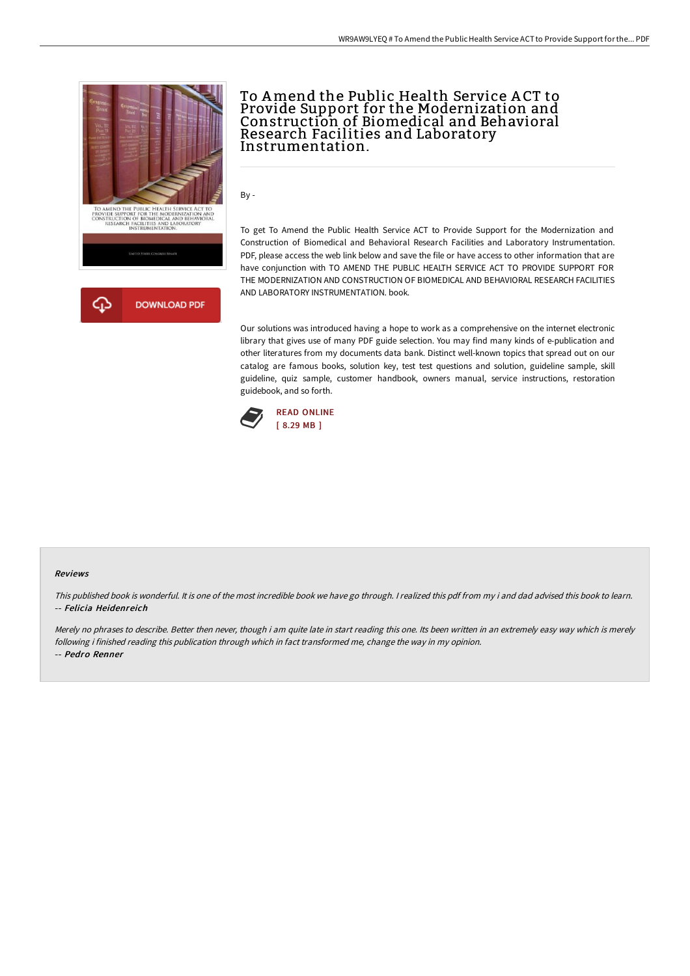



# To Amend the Public Health Service A CT to Provide Support for the Modernization and Construction of Biomedical and Behavioral Research Facilities and Laboratory Instrumentation.

By -

To get To Amend the Public Health Service ACT to Provide Support for the Modernization and Construction of Biomedical and Behavioral Research Facilities and Laboratory Instrumentation. PDF, please access the web link below and save the file or have access to other information that are have conjunction with TO AMEND THE PUBLIC HEALTH SERVICE ACT TO PROVIDE SUPPORT FOR THE MODERNIZATION AND CONSTRUCTION OF BIOMEDICAL AND BEHAVIORAL RESEARCH FACILITIES AND LABORATORY INSTRUMENTATION. book.

Our solutions was introduced having a hope to work as a comprehensive on the internet electronic library that gives use of many PDF guide selection. You may find many kinds of e-publication and other literatures from my documents data bank. Distinct well-known topics that spread out on our catalog are famous books, solution key, test test questions and solution, guideline sample, skill guideline, quiz sample, customer handbook, owners manual, service instructions, restoration guidebook, and so forth.



#### Reviews

This published book is wonderful. It is one of the most incredible book we have go through. I realized this pdf from my i and dad advised this book to learn. -- Felicia Heidenreich

Merely no phrases to describe. Better then never, though i am quite late in start reading this one. Its been written in an extremely easy way which is merely following i finished reading this publication through which in fact transformed me, change the way in my opinion. -- Pedro Renner